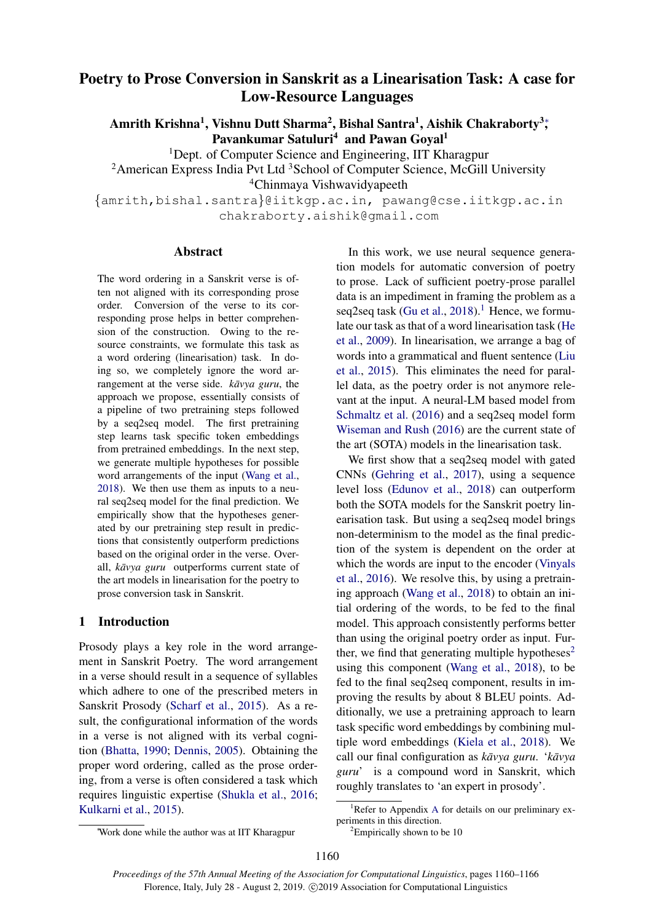# <span id="page-0-2"></span>Poetry to Prose Conversion in Sanskrit as a Linearisation Task: A case for Low-Resource Languages

Amrith Krishna $^1$ , Vishnu Dutt Sharma $^2$ , Bishal Santra $^1$ , Aishik Chakraborty $^3;$ Pavankumar Satuluri<sup>4</sup> and Pawan Goyal<sup>1</sup>

<sup>1</sup>Dept. of Computer Science and Engineering, IIT Kharagpur

<sup>2</sup> American Express India Pvt Ltd<sup>3</sup> School of Computer Science, McGill University

<sup>4</sup>Chinmaya Vishwavidyapeeth

{amrith,bishal.santra}@iitkgp.ac.in, pawang@cse.iitkgp.ac.in chakraborty.aishik@gmail.com

#### Abstract

The word ordering in a Sanskrit verse is often not aligned with its corresponding prose order. Conversion of the verse to its corresponding prose helps in better comprehension of the construction. Owing to the resource constraints, we formulate this task as a word ordering (linearisation) task. In doing so, we completely ignore the word arrangement at the verse side. *kavya guru*, the approach we propose, essentially consists of a pipeline of two pretraining steps followed by a seq2seq model. The first pretraining step learns task specific token embeddings from pretrained embeddings. In the next step, we generate multiple hypotheses for possible word arrangements of the input [\(Wang et al.,](#page-5-0) [2018\)](#page-5-0). We then use them as inputs to a neural seq2seq model for the final prediction. We empirically show that the hypotheses generated by our pretraining step result in predictions that consistently outperform predictions based on the original order in the verse. Overall, *kāvya guru* outperforms current state of the art models in linearisation for the poetry to prose conversion task in Sanskrit.

## 1 Introduction

Prosody plays a key role in the word arrangement in Sanskrit Poetry. The word arrangement in a verse should result in a sequence of syllables which adhere to one of the prescribed meters in Sanskrit Prosody [\(Scharf et al.,](#page-5-1) [2015\)](#page-5-1). As a result, the configurational information of the words in a verse is not aligned with its verbal cognition [\(Bhatta,](#page-4-0) [1990;](#page-4-0) [Dennis,](#page-4-1) [2005\)](#page-4-1). Obtaining the proper word ordering, called as the prose ordering, from a verse is often considered a task which requires linguistic expertise [\(Shukla et al.,](#page-5-2) [2016;](#page-5-2) [Kulkarni et al.,](#page-5-3) [2015\)](#page-5-3).

In this work, we use neural sequence generation models for automatic conversion of poetry to prose. Lack of sufficient poetry-prose parallel data is an impediment in framing the problem as a seq2seq task [\(Gu et al.,](#page-4-2)  $2018$  $2018$  $2018$ ).<sup>1</sup> Hence, we formulate our task as that of a word linearisation task [\(He](#page-4-3) [et al.,](#page-4-3) [2009\)](#page-4-3). In linearisation, we arrange a bag of words into a grammatical and fluent sentence [\(Liu](#page-5-4) [et al.,](#page-5-4) [2015\)](#page-5-4). This eliminates the need for parallel data, as the poetry order is not anymore relevant at the input. A neural-LM based model from [Schmaltz et al.](#page-5-5) [\(2016\)](#page-5-5) and a seq2seq model form [Wiseman and Rush](#page-5-6) [\(2016\)](#page-5-6) are the current state of the art (SOTA) models in the linearisation task.

We first show that a seq2seq model with gated CNNs [\(Gehring et al.,](#page-4-4) [2017\)](#page-4-4), using a sequence level loss [\(Edunov et al.,](#page-4-5) [2018\)](#page-4-5) can outperform both the SOTA models for the Sanskrit poetry linearisation task. But using a seq2seq model brings non-determinism to the model as the final prediction of the system is dependent on the order at which the words are input to the encoder [\(Vinyals](#page-5-7) [et al.,](#page-5-7) [2016\)](#page-5-7). We resolve this, by using a pretraining approach [\(Wang et al.,](#page-5-0) [2018\)](#page-5-0) to obtain an initial ordering of the words, to be fed to the final model. This approach consistently performs better than using the original poetry order as input. Fur-ther, we find that generating multiple hypotheses<sup>[2](#page-0-1)</sup> using this component [\(Wang et al.,](#page-5-0) [2018\)](#page-5-0), to be fed to the final seq2seq component, results in improving the results by about 8 BLEU points. Additionally, we use a pretraining approach to learn task specific word embeddings by combining multiple word embeddings [\(Kiela et al.,](#page-5-8) [2018\)](#page-5-8). We call our final configuration as  $k \bar{a} \nu \nu a \mu$ . ' $k \bar{a} \nu \nu a$ *guru*' is a compound word in Sanskrit, which roughly translates to 'an expert in prosody'.

<span id="page-0-0"></span><sup>&</sup>lt;sup>1</sup>Refer to [A](#page-6-0)ppendix A for details on our preliminary experiments in this direction.

<span id="page-0-1"></span> ${}^{2}$ Empirically shown to be 10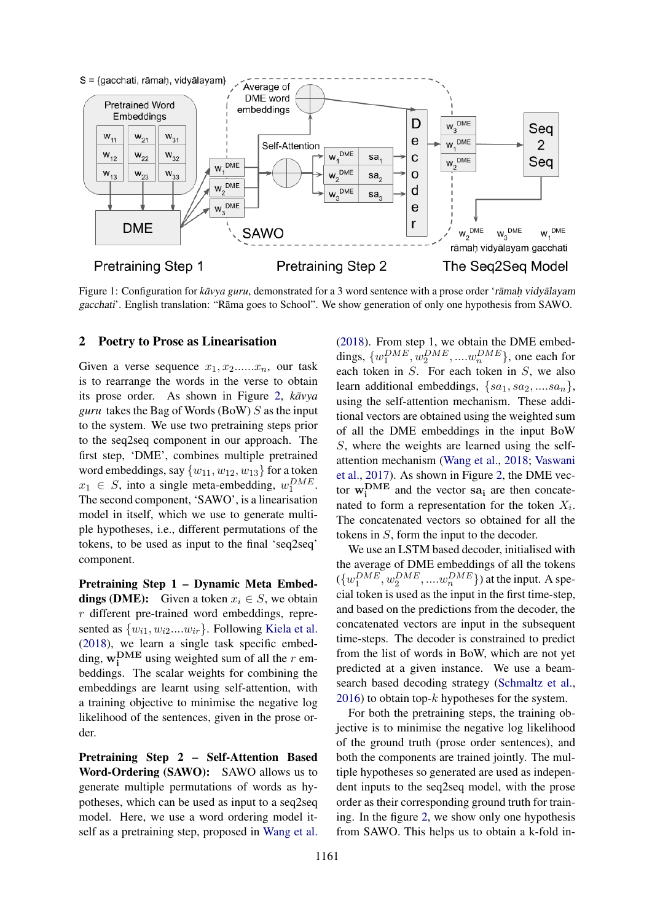

Figure 1: Configuration for *kavya guru*, demonstrated for a 3 word sentence with a prose order 'ramah vidyalayam gacchati'. English translation: "Rāma goes to School". We show generation of only one hypothesis from SAWO.

#### <span id="page-1-0"></span>2 Poetry to Prose as Linearisation

Given a verse sequence  $x_1, x_2, \ldots, x_n$ , our task is to rearrange the words in the verse to obtain its prose order. As shown in Figure [2,](#page-1-0)  $k \bar{a} v y a$ *guru* takes the Bag of Words (BoW) S as the input to the system. We use two pretraining steps prior to the seq2seq component in our approach. The first step, 'DME', combines multiple pretrained word embeddings, say  $\{w_{11}, w_{12}, w_{13}\}$  for a token  $x_1 \in S$ , into a single meta-embedding,  $w_1^{DME}$ . The second component, 'SAWO', is a linearisation model in itself, which we use to generate multiple hypotheses, i.e., different permutations of the tokens, to be used as input to the final 'seq2seq' component.

Pretraining Step 1 – Dynamic Meta Embed**dings (DME):** Given a token  $x_i \in S$ , we obtain r different pre-trained word embeddings, represented as  $\{w_{i1}, w_{i2}...w_{ir}\}$ . Following [Kiela et al.](#page-5-8) [\(2018\)](#page-5-8), we learn a single task specific embedding,  $\mathbf{w_i^{DME}}$  using weighted sum of all the r embeddings. The scalar weights for combining the embeddings are learnt using self-attention, with a training objective to minimise the negative log likelihood of the sentences, given in the prose order.

Pretraining Step 2 – Self-Attention Based Word-Ordering (SAWO): SAWO allows us to generate multiple permutations of words as hypotheses, which can be used as input to a seq2seq model. Here, we use a word ordering model itself as a pretraining step, proposed in [Wang et al.](#page-5-0)

[\(2018\)](#page-5-0). From step 1, we obtain the DME embeddings,  $\{w_1^{DME}, w_2^{DME}, ... \cdot w_n^{DME}\}$ , one each for each token in S. For each token in S, we also learn additional embeddings,  $\{sa_1, sa_2, \ldots, sa_n\},\$ using the self-attention mechanism. These additional vectors are obtained using the weighted sum of all the DME embeddings in the input BoW S, where the weights are learned using the selfattention mechanism [\(Wang et al.,](#page-5-0) [2018;](#page-5-0) [Vaswani](#page-5-9) [et al.,](#page-5-9) [2017\)](#page-5-9). As shown in Figure [2,](#page-1-0) the DME vector  $w_i^{\text{DME}}$  and the vector sa<sub>i</sub> are then concatenated to form a representation for the token  $X_i$ . The concatenated vectors so obtained for all the tokens in S, form the input to the decoder.

We use an LSTM based decoder, initialised with the average of DME embeddings of all the tokens  $({w_1^{DME}, w_2^{DME}, .... w_n^{DME}})$  at the input. A special token is used as the input in the first time-step, and based on the predictions from the decoder, the concatenated vectors are input in the subsequent time-steps. The decoder is constrained to predict from the list of words in BoW, which are not yet predicted at a given instance. We use a beamsearch based decoding strategy [\(Schmaltz et al.,](#page-5-5) [2016\)](#page-5-5) to obtain top- $k$  hypotheses for the system.

For both the pretraining steps, the training objective is to minimise the negative log likelihood of the ground truth (prose order sentences), and both the components are trained jointly. The multiple hypotheses so generated are used as independent inputs to the seq2seq model, with the prose order as their corresponding ground truth for training. In the figure [2,](#page-1-0) we show only one hypothesis from SAWO. This helps us to obtain a k-fold in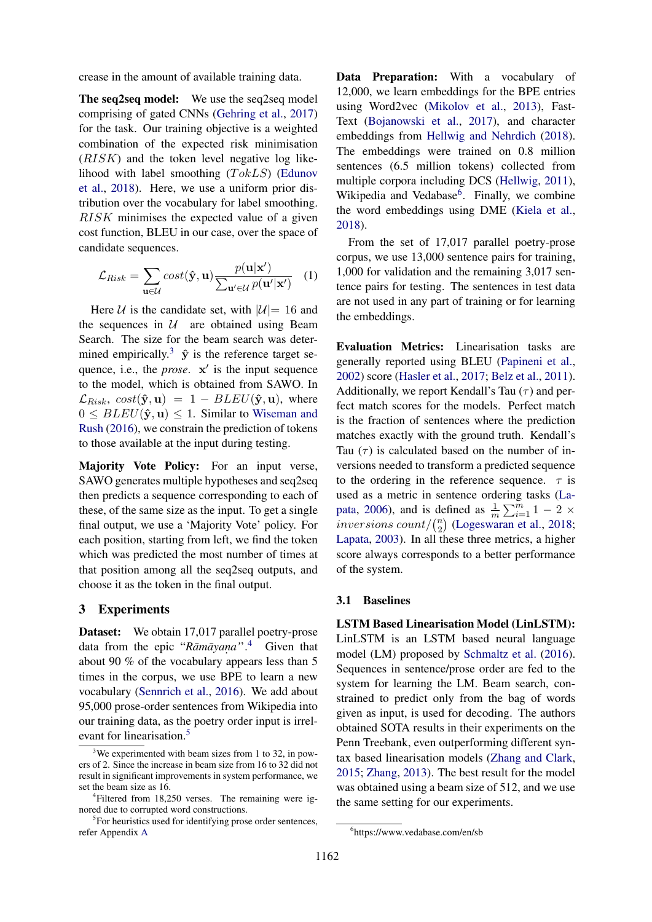crease in the amount of available training data.

The seq2seq model: We use the seq2seq model comprising of gated CNNs [\(Gehring et al.,](#page-4-4) [2017\)](#page-4-4) for the task. Our training objective is a weighted combination of the expected risk minimisation (RISK) and the token level negative log likelihood with label smoothing  $(TokLS)$  [\(Edunov](#page-4-5) [et al.,](#page-4-5) [2018\)](#page-4-5). Here, we use a uniform prior distribution over the vocabulary for label smoothing. RISK minimises the expected value of a given cost function, BLEU in our case, over the space of candidate sequences.

$$
\mathcal{L}_{Risk} = \sum_{\mathbf{u} \in \mathcal{U}} cost(\hat{\mathbf{y}}, \mathbf{u}) \frac{p(\mathbf{u}|\mathbf{x}')}{\sum_{\mathbf{u}' \in \mathcal{U}} p(\mathbf{u}'|\mathbf{x}')} (1)
$$

Here U is the candidate set, with  $|U|=16$  and the sequences in  $U$  are obtained using Beam Search. The size for the beam search was deter-mined empirically.<sup>[3](#page-2-0)</sup>  $\hat{y}$  is the reference target sequence, i.e., the *prose*.  $x'$  is the input sequence to the model, which is obtained from SAWO. In  $\mathcal{L}_{Risk}$ ,  $cost(\hat{\mathbf{y}}, \mathbf{u}) = 1 - BLEU(\hat{\mathbf{y}}, \mathbf{u})$ , where  $0 \leq BLEU(\hat{\mathbf{y}}, \mathbf{u}) \leq 1$ . Similar to [Wiseman and](#page-5-6) [Rush](#page-5-6) [\(2016\)](#page-5-6), we constrain the prediction of tokens to those available at the input during testing.

Majority Vote Policy: For an input verse, SAWO generates multiple hypotheses and seq2seq then predicts a sequence corresponding to each of these, of the same size as the input. To get a single final output, we use a 'Majority Vote' policy. For each position, starting from left, we find the token which was predicted the most number of times at that position among all the seq2seq outputs, and choose it as the token in the final output.

## 3 Experiments

Dataset: We obtain 17,017 parallel poetry-prose data from the epic "*Rāmāyana*".<sup>[4](#page-2-1)</sup> Given that about 90 % of the vocabulary appears less than 5 times in the corpus, we use BPE to learn a new vocabulary [\(Sennrich et al.,](#page-5-10) [2016\)](#page-5-10). We add about 95,000 prose-order sentences from Wikipedia into our training data, as the poetry order input is irrel-evant for linearisation.<sup>[5](#page-2-2)</sup>

Data Preparation: With a vocabulary of 12,000, we learn embeddings for the BPE entries using Word2vec [\(Mikolov et al.,](#page-5-11) [2013\)](#page-5-11), Fast-Text [\(Bojanowski et al.,](#page-4-6) [2017\)](#page-4-6), and character embeddings from [Hellwig and Nehrdich](#page-5-12) [\(2018\)](#page-5-12). The embeddings were trained on 0.8 million sentences (6.5 million tokens) collected from multiple corpora including DCS [\(Hellwig,](#page-4-7) [2011\)](#page-4-7), Wikipedia and Vedabase<sup>[6](#page-2-3)</sup>. Finally, we combine the word embeddings using DME [\(Kiela et al.,](#page-5-8) [2018\)](#page-5-8).

From the set of 17,017 parallel poetry-prose corpus, we use 13,000 sentence pairs for training, 1,000 for validation and the remaining 3,017 sentence pairs for testing. The sentences in test data are not used in any part of training or for learning the embeddings.

Evaluation Metrics: Linearisation tasks are generally reported using BLEU [\(Papineni et al.,](#page-5-13) [2002\)](#page-5-13) score [\(Hasler et al.,](#page-4-8) [2017;](#page-4-8) [Belz et al.,](#page-4-9) [2011\)](#page-4-9). Additionally, we report Kendall's Tau  $(\tau)$  and perfect match scores for the models. Perfect match is the fraction of sentences where the prediction matches exactly with the ground truth. Kendall's Tau  $(\tau)$  is calculated based on the number of inversions needed to transform a predicted sequence to the ordering in the reference sequence.  $\tau$  is used as a metric in sentence ordering tasks [\(La](#page-5-14)[pata,](#page-5-14) [2006\)](#page-5-14), and is defined as  $\frac{1}{m} \sum_{i=1}^{m} 1 - 2 \times$ inversions count/ $\binom{n}{2}$  $n \choose 2$  [\(Logeswaran et al.,](#page-5-15) [2018;](#page-5-15) [Lapata,](#page-5-16) [2003\)](#page-5-16). In all these three metrics, a higher score always corresponds to a better performance of the system.

#### 3.1 Baselines

LSTM Based Linearisation Model (LinLSTM): LinLSTM is an LSTM based neural language model (LM) proposed by [Schmaltz et al.](#page-5-5) [\(2016\)](#page-5-5). Sequences in sentence/prose order are fed to the system for learning the LM. Beam search, constrained to predict only from the bag of words given as input, is used for decoding. The authors obtained SOTA results in their experiments on the Penn Treebank, even outperforming different syntax based linearisation models [\(Zhang and Clark,](#page-5-17) [2015;](#page-5-17) [Zhang,](#page-5-18) [2013\)](#page-5-18). The best result for the model was obtained using a beam size of 512, and we use the same setting for our experiments.

<span id="page-2-0"></span> $3$ We experimented with beam sizes from 1 to 32, in powers of 2. Since the increase in beam size from 16 to 32 did not result in significant improvements in system performance, we set the beam size as 16.

<span id="page-2-1"></span><sup>4</sup> Filtered from 18,250 verses. The remaining were ignored due to corrupted word constructions.

<span id="page-2-2"></span><sup>&</sup>lt;sup>5</sup>For heuristics used for identifying prose order sentences, refer Appendix [A](#page-6-0)

<span id="page-2-3"></span><sup>6</sup> https://www.vedabase.com/en/sb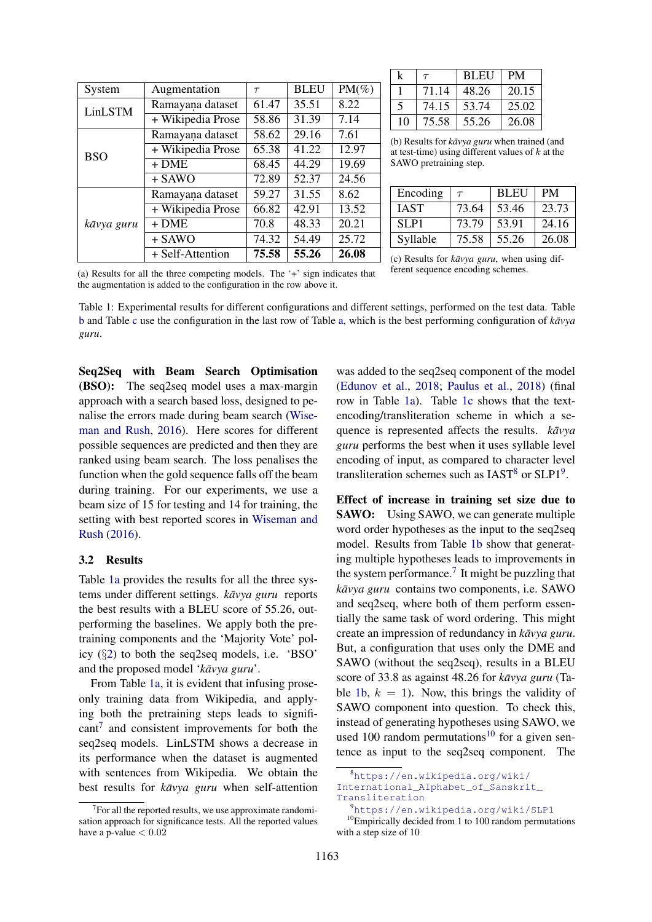<span id="page-3-0"></span>

| System     | Augmentation      | $\tau$ | <b>BLEU</b> | $PM(\%)$ |
|------------|-------------------|--------|-------------|----------|
| LinLSTM    | Ramayana dataset  | 61.47  | 35.51       | 8.22     |
|            | + Wikipedia Prose | 58.86  |             | 7.14     |
| <b>BSO</b> | Ramayana dataset  | 58.62  | 29.16       | 7.61     |
|            | + Wikipedia Prose | 65.38  | 41.22       | 12.97    |
|            | $+$ DME           | 68.45  | 44.29       | 19.69    |
|            | $+$ SAWO          | 72.89  | 52.37       | 24.56    |
| kāvya guru | Ramayana dataset  | 59.27  | 31.55       | 8.62     |
|            | + Wikipedia Prose | 66.82  | 42.91       | 13.52    |
|            | $+$ DME           | 70.8   | 48.33       | 20.21    |
|            | $+$ SAWO          | 74.32  | 54.49       | 25.72    |
|            | + Self-Attention  | 75.58  | 55.26       | 26.08    |

| k  | $\tau$ | <b>BLEU</b> | <b>PM</b> |
|----|--------|-------------|-----------|
|    | 71.14  | 48.26       | 20.15     |
| 5  | 74.15  | 53.74       | 25.02     |
| 10 | 75.58  | 55.26       | 26.08     |

(b) Results for *kāvya guru* when trained (and at test-time) using different values of  $k$  at the SAWO pretraining step.

| Encoding    | $\tau$ | <b>BLEU</b> | <b>PM</b> |
|-------------|--------|-------------|-----------|
| <b>IAST</b> | 73.64  | 53.46       | 23.73     |
| SLP1        | 73.79  | 53.91       | 24.16     |
| Syllable    | 75.58  | 55.26       | 26.08     |

(a) Results for all the three competing models. The '+' sign indicates that the augmentation is added to the configuration in the row above it.

Table 1: Experimental results for different configurations and different settings, performed on the test data. Table [b](#page-3-0) and Table [c](#page-3-0) use the configuration in the last row of Table [a,](#page-3-0) which is the best performing configuration of *kavya ¯ guru*.

Seq2Seq with Beam Search Optimisation (BSO): The seq2seq model uses a max-margin approach with a search based loss, designed to penalise the errors made during beam search [\(Wise](#page-5-6)[man and Rush,](#page-5-6) [2016\)](#page-5-6). Here scores for different possible sequences are predicted and then they are ranked using beam search. The loss penalises the function when the gold sequence falls off the beam during training. For our experiments, we use a beam size of 15 for testing and 14 for training, the setting with best reported scores in [Wiseman and](#page-5-6) [Rush](#page-5-6) [\(2016\)](#page-5-6).

### 3.2 Results

Table [1a](#page-3-0) provides the results for all the three systems under different settings. *kāvya guru* reports the best results with a BLEU score of 55.26, outperforming the baselines. We apply both the pretraining components and the 'Majority Vote' policy (§[2\)](#page-1-0) to both the seq2seq models, i.e. 'BSO' and the proposed model '*kāvya guru*'.

From Table [1a,](#page-3-0) it is evident that infusing proseonly training data from Wikipedia, and applying both the pretraining steps leads to signifi- $\text{cant}^7$  $\text{cant}^7$  and consistent improvements for both the seq2seq models. LinLSTM shows a decrease in its performance when the dataset is augmented with sentences from Wikipedia. We obtain the best results for *kavya guru* when self-attention (c) Results for  $k \bar{a} \nu \nu a$  *guru*, when using different sequence encoding schemes.

was added to the seq2seq component of the model [\(Edunov et al.,](#page-4-5) [2018;](#page-4-5) [Paulus et al.,](#page-5-19) [2018\)](#page-5-19) (final row in Table [1a\)](#page-3-0). Table [1c](#page-3-0) shows that the textencoding/transliteration scheme in which a sequence is represented affects the results.  $k \bar{a} v y a$ *guru* performs the best when it uses syllable level encoding of input, as compared to character level transliteration schemes such as  $IAST<sup>8</sup>$  $IAST<sup>8</sup>$  $IAST<sup>8</sup>$  or  $SLP1<sup>9</sup>$  $SLP1<sup>9</sup>$  $SLP1<sup>9</sup>$ .

Effect of increase in training set size due to SAWO: Using SAWO, we can generate multiple word order hypotheses as the input to the seq2seq model. Results from Table [1b](#page-3-0) show that generating multiple hypotheses leads to improvements in the system performance.<sup>[7](#page-0-2)</sup> It might be puzzling that *kāvya guru* contains two components, i.e. SAWO and seq2seq, where both of them perform essentially the same task of word ordering. This might create an impression of redundancy in  $k \bar{a} \nu y a g u r u$ . But, a configuration that uses only the DME and SAWO (without the seq2seq), results in a BLEU score of 33.8 as against 48.26 for *kavya guru* (Ta-ble [1b,](#page-3-0)  $k = 1$ ). Now, this brings the validity of SAWO component into question. To check this, instead of generating hypotheses using SAWO, we used [10](#page-3-4)0 random permutations<sup>10</sup> for a given sentence as input to the seq2seq component. The

<span id="page-3-1"></span> $7$  For all the reported results, we use approximate randomisation approach for significance tests. All the reported values have a p-value  $< 0.02$ 

<span id="page-3-2"></span><sup>8</sup>[https://en.wikipedia.org/wiki/](https://en.wikipedia.org/wiki/International_Alphabet_of_Sanskrit_Transliteration) International Alphabet of Sanskrit [Transliteration](https://en.wikipedia.org/wiki/International_Alphabet_of_Sanskrit_Transliteration)

<span id="page-3-4"></span><span id="page-3-3"></span><sup>9</sup><https://en.wikipedia.org/wiki/SLP1>

 $10$ Empirically decided from 1 to 100 random permutations with a step size of 10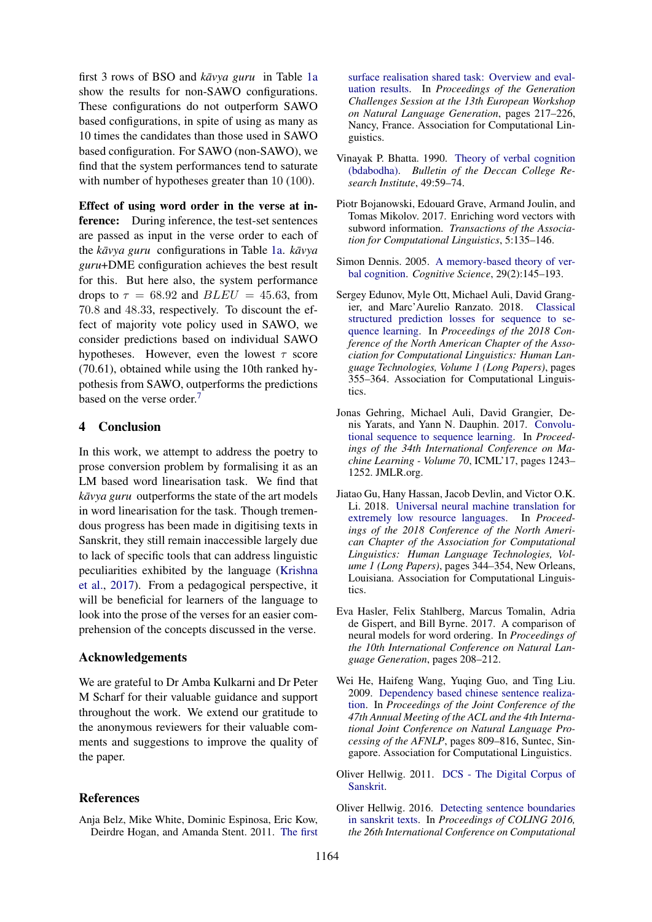first 3 rows of BSO and *kavya guru* in Table [1a](#page-3-0) show the results for non-SAWO configurations. These configurations do not outperform SAWO based configurations, in spite of using as many as 10 times the candidates than those used in SAWO based configuration. For SAWO (non-SAWO), we find that the system performances tend to saturate with number of hypotheses greater than 10 (100).

Effect of using word order in the verse at inference: During inference, the test-set sentences are passed as input in the verse order to each of the *kavya guru* configurations in Table [1a.](#page-3-0) *kavya guru*+DME configuration achieves the best result for this. But here also, the system performance drops to  $\tau = 68.92$  and  $BLEU = 45.63$ , from 70.8 and 48.33, respectively. To discount the effect of majority vote policy used in SAWO, we consider predictions based on individual SAWO hypotheses. However, even the lowest  $\tau$  score (70.61), obtained while using the 10th ranked hypothesis from SAWO, outperforms the predictions based on the verse order.<sup>[7](#page-0-2)</sup>

### 4 Conclusion

In this work, we attempt to address the poetry to prose conversion problem by formalising it as an LM based word linearisation task. We find that *kāvya guru* outperforms the state of the art models in word linearisation for the task. Though tremendous progress has been made in digitising texts in Sanskrit, they still remain inaccessible largely due to lack of specific tools that can address linguistic peculiarities exhibited by the language [\(Krishna](#page-5-20) [et al.,](#page-5-20) [2017\)](#page-5-20). From a pedagogical perspective, it will be beneficial for learners of the language to look into the prose of the verses for an easier comprehension of the concepts discussed in the verse.

### Acknowledgements

We are grateful to Dr Amba Kulkarni and Dr Peter M Scharf for their valuable guidance and support throughout the work. We extend our gratitude to the anonymous reviewers for their valuable comments and suggestions to improve the quality of the paper.

### References

<span id="page-4-9"></span>Anja Belz, Mike White, Dominic Espinosa, Eric Kow, Deirdre Hogan, and Amanda Stent. 2011. [The first](http://www.aclweb.org/anthology/W11-2832) [surface realisation shared task: Overview and eval](http://www.aclweb.org/anthology/W11-2832)[uation results.](http://www.aclweb.org/anthology/W11-2832) In *Proceedings of the Generation Challenges Session at the 13th European Workshop on Natural Language Generation*, pages 217–226, Nancy, France. Association for Computational Linguistics.

- <span id="page-4-0"></span>Vinayak P. Bhatta. 1990. [Theory of verbal cognition](http://www.jstor.org/stable/42930269) [\(bdabodha\).](http://www.jstor.org/stable/42930269) *Bulletin of the Deccan College Research Institute*, 49:59–74.
- <span id="page-4-6"></span>Piotr Bojanowski, Edouard Grave, Armand Joulin, and Tomas Mikolov. 2017. Enriching word vectors with subword information. *Transactions of the Association for Computational Linguistics*, 5:135–146.
- <span id="page-4-1"></span>Simon Dennis. 2005. [A memory-based theory of ver](https://doi.org/10.1207/s15516709cog0000_9)[bal cognition.](https://doi.org/10.1207/s15516709cog0000_9) *Cognitive Science*, 29(2):145–193.
- <span id="page-4-5"></span>Sergey Edunov, Myle Ott, Michael Auli, David Grangier, and Marc'Aurelio Ranzato. 2018. [Classical](https://doi.org/10.18653/v1/N18-1033) [structured prediction losses for sequence to se](https://doi.org/10.18653/v1/N18-1033)[quence learning.](https://doi.org/10.18653/v1/N18-1033) In *Proceedings of the 2018 Conference of the North American Chapter of the Association for Computational Linguistics: Human Language Technologies, Volume 1 (Long Papers)*, pages 355–364. Association for Computational Linguistics.
- <span id="page-4-4"></span>Jonas Gehring, Michael Auli, David Grangier, Denis Yarats, and Yann N. Dauphin. 2017. [Convolu](http://dl.acm.org/citation.cfm?id=3305381.3305510)[tional sequence to sequence learning.](http://dl.acm.org/citation.cfm?id=3305381.3305510) In *Proceedings of the 34th International Conference on Machine Learning - Volume 70*, ICML'17, pages 1243– 1252. JMLR.org.
- <span id="page-4-2"></span>Jiatao Gu, Hany Hassan, Jacob Devlin, and Victor O.K. Li. 2018. [Universal neural machine translation for](https://doi.org/10.18653/v1/N18-1032) [extremely low resource languages.](https://doi.org/10.18653/v1/N18-1032) In *Proceedings of the 2018 Conference of the North American Chapter of the Association for Computational Linguistics: Human Language Technologies, Volume 1 (Long Papers)*, pages 344–354, New Orleans, Louisiana. Association for Computational Linguistics.
- <span id="page-4-8"></span>Eva Hasler, Felix Stahlberg, Marcus Tomalin, Adria de Gispert, and Bill Byrne. 2017. A comparison of neural models for word ordering. In *Proceedings of the 10th International Conference on Natural Language Generation*, pages 208–212.
- <span id="page-4-3"></span>Wei He, Haifeng Wang, Yuqing Guo, and Ting Liu. 2009. [Dependency based chinese sentence realiza](http://www.aclweb.org/anthology/P/P09/P09-1091)[tion.](http://www.aclweb.org/anthology/P/P09/P09-1091) In *Proceedings of the Joint Conference of the 47th Annual Meeting of the ACL and the 4th International Joint Conference on Natural Language Processing of the AFNLP*, pages 809–816, Suntec, Singapore. Association for Computational Linguistics.
- <span id="page-4-7"></span>Oliver Hellwig. 2011. [DCS - The Digital Corpus of](http://kjc-sv013.kjc.uni-heidelberg.de/dcs/) [Sanskrit.](http://kjc-sv013.kjc.uni-heidelberg.de/dcs/)
- <span id="page-4-10"></span>Oliver Hellwig. 2016. [Detecting sentence boundaries](http://aclweb.org/anthology/C16-1028) [in sanskrit texts.](http://aclweb.org/anthology/C16-1028) In *Proceedings of COLING 2016, the 26th International Conference on Computational*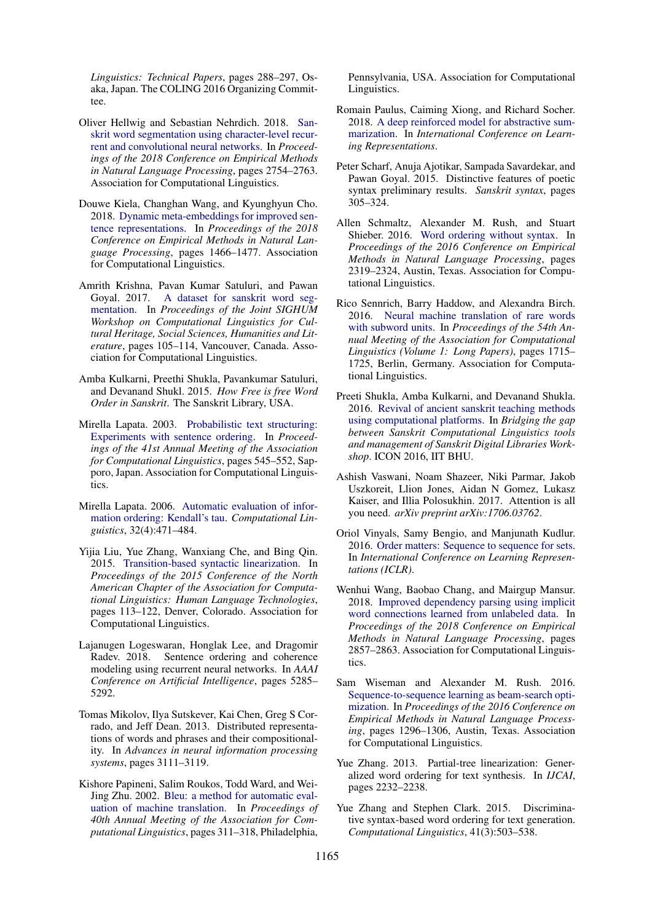*Linguistics: Technical Papers*, pages 288–297, Osaka, Japan. The COLING 2016 Organizing Committee.

- <span id="page-5-12"></span>Oliver Hellwig and Sebastian Nehrdich. 2018. [San](http://aclweb.org/anthology/D18-1295)[skrit word segmentation using character-level recur](http://aclweb.org/anthology/D18-1295)[rent and convolutional neural networks.](http://aclweb.org/anthology/D18-1295) In *Proceedings of the 2018 Conference on Empirical Methods in Natural Language Processing*, pages 2754–2763. Association for Computational Linguistics.
- <span id="page-5-8"></span>Douwe Kiela, Changhan Wang, and Kyunghyun Cho. 2018. [Dynamic meta-embeddings for improved sen](http://aclweb.org/anthology/D18-1176)[tence representations.](http://aclweb.org/anthology/D18-1176) In *Proceedings of the 2018 Conference on Empirical Methods in Natural Language Processing*, pages 1466–1477. Association for Computational Linguistics.
- <span id="page-5-20"></span>Amrith Krishna, Pavan Kumar Satuluri, and Pawan Goyal. 2017. [A dataset for sanskrit word seg](http://www.aclweb.org/anthology/W17-2214)[mentation.](http://www.aclweb.org/anthology/W17-2214) In *Proceedings of the Joint SIGHUM Workshop on Computational Linguistics for Cultural Heritage, Social Sciences, Humanities and Literature*, pages 105–114, Vancouver, Canada. Association for Computational Linguistics.
- <span id="page-5-3"></span>Amba Kulkarni, Preethi Shukla, Pavankumar Satuluri, and Devanand Shukl. 2015. *How Free is free Word Order in Sanskrit*. The Sanskrit Library, USA.
- <span id="page-5-16"></span>Mirella Lapata. 2003. [Probabilistic text structuring:](https://doi.org/10.3115/1075096.1075165) [Experiments with sentence ordering.](https://doi.org/10.3115/1075096.1075165) In *Proceedings of the 41st Annual Meeting of the Association for Computational Linguistics*, pages 545–552, Sapporo, Japan. Association for Computational Linguistics.
- <span id="page-5-14"></span>Mirella Lapata. 2006. [Automatic evaluation of infor](https://doi.org/10.1162/coli.2006.32.4.471)[mation ordering: Kendall's tau.](https://doi.org/10.1162/coli.2006.32.4.471) *Computational Linguistics*, 32(4):471–484.
- <span id="page-5-4"></span>Yijia Liu, Yue Zhang, Wanxiang Che, and Bing Qin. 2015. [Transition-based syntactic linearization.](http://www.aclweb.org/anthology/N15-1012) In *Proceedings of the 2015 Conference of the North American Chapter of the Association for Computational Linguistics: Human Language Technologies*, pages 113–122, Denver, Colorado. Association for Computational Linguistics.
- <span id="page-5-15"></span>Lajanugen Logeswaran, Honglak Lee, and Dragomir Radev. 2018. Sentence ordering and coherence modeling using recurrent neural networks. In *AAAI Conference on Artificial Intelligence*, pages 5285– 5292.
- <span id="page-5-11"></span>Tomas Mikolov, Ilya Sutskever, Kai Chen, Greg S Corrado, and Jeff Dean. 2013. Distributed representations of words and phrases and their compositionality. In *Advances in neural information processing systems*, pages 3111–3119.
- <span id="page-5-13"></span>Kishore Papineni, Salim Roukos, Todd Ward, and Wei-Jing Zhu. 2002. [Bleu: a method for automatic eval](https://doi.org/10.3115/1073083.1073135)[uation of machine translation.](https://doi.org/10.3115/1073083.1073135) In *Proceedings of 40th Annual Meeting of the Association for Computational Linguistics*, pages 311–318, Philadelphia,

Pennsylvania, USA. Association for Computational Linguistics.

- <span id="page-5-19"></span>Romain Paulus, Caiming Xiong, and Richard Socher. 2018. [A deep reinforced model for abstractive sum](https://openreview.net/forum?id=HkAClQgA-)[marization.](https://openreview.net/forum?id=HkAClQgA-) In *International Conference on Learning Representations*.
- <span id="page-5-1"></span>Peter Scharf, Anuja Ajotikar, Sampada Savardekar, and Pawan Goyal. 2015. Distinctive features of poetic syntax preliminary results. *Sanskrit syntax*, pages 305–324.
- <span id="page-5-5"></span>Allen Schmaltz, Alexander M. Rush, and Stuart Shieber. 2016. [Word ordering without syntax.](https://aclweb.org/anthology/D16-1255) In *Proceedings of the 2016 Conference on Empirical Methods in Natural Language Processing*, pages 2319–2324, Austin, Texas. Association for Computational Linguistics.
- <span id="page-5-10"></span>Rico Sennrich, Barry Haddow, and Alexandra Birch. 2016. [Neural machine translation of rare words](http://www.aclweb.org/anthology/P16-1162) [with subword units.](http://www.aclweb.org/anthology/P16-1162) In *Proceedings of the 54th Annual Meeting of the Association for Computational Linguistics (Volume 1: Long Papers)*, pages 1715– 1725, Berlin, Germany. Association for Computational Linguistics.
- <span id="page-5-2"></span>Preeti Shukla, Amba Kulkarni, and Devanand Shukla. 2016. [Revival of ancient sanskrit teaching methods](http://cse.iitkgp.ac.in/resgrp/cnerg/sclws/papers/shukla.pdf) [using computational platforms.](http://cse.iitkgp.ac.in/resgrp/cnerg/sclws/papers/shukla.pdf) In *Bridging the gap between Sanskrit Computational Linguistics tools and management of Sanskrit Digital Libraries Workshop*. ICON 2016, IIT BHU.
- <span id="page-5-9"></span>Ashish Vaswani, Noam Shazeer, Niki Parmar, Jakob Uszkoreit, Llion Jones, Aidan N Gomez, Lukasz Kaiser, and Illia Polosukhin. 2017. Attention is all you need. *arXiv preprint arXiv:1706.03762*.
- <span id="page-5-7"></span>Oriol Vinyals, Samy Bengio, and Manjunath Kudlur. 2016. [Order matters: Sequence to sequence for sets.](http://arxiv.org/abs/1511.06391) In *International Conference on Learning Representations (ICLR)*.
- <span id="page-5-0"></span>Wenhui Wang, Baobao Chang, and Mairgup Mansur. 2018. [Improved dependency parsing using implicit](http://aclweb.org/anthology/D18-1311) [word connections learned from unlabeled data.](http://aclweb.org/anthology/D18-1311) In *Proceedings of the 2018 Conference on Empirical Methods in Natural Language Processing*, pages 2857–2863. Association for Computational Linguistics.
- <span id="page-5-6"></span>Sam Wiseman and Alexander M. Rush. 2016. [Sequence-to-sequence learning as beam-search opti](https://aclweb.org/anthology/D16-1137)[mization.](https://aclweb.org/anthology/D16-1137) In *Proceedings of the 2016 Conference on Empirical Methods in Natural Language Processing*, pages 1296–1306, Austin, Texas. Association for Computational Linguistics.
- <span id="page-5-18"></span>Yue Zhang. 2013. Partial-tree linearization: Generalized word ordering for text synthesis. In *IJCAI*, pages 2232–2238.
- <span id="page-5-17"></span>Yue Zhang and Stephen Clark. 2015. Discriminative syntax-based word ordering for text generation. *Computational Linguistics*, 41(3):503–538.